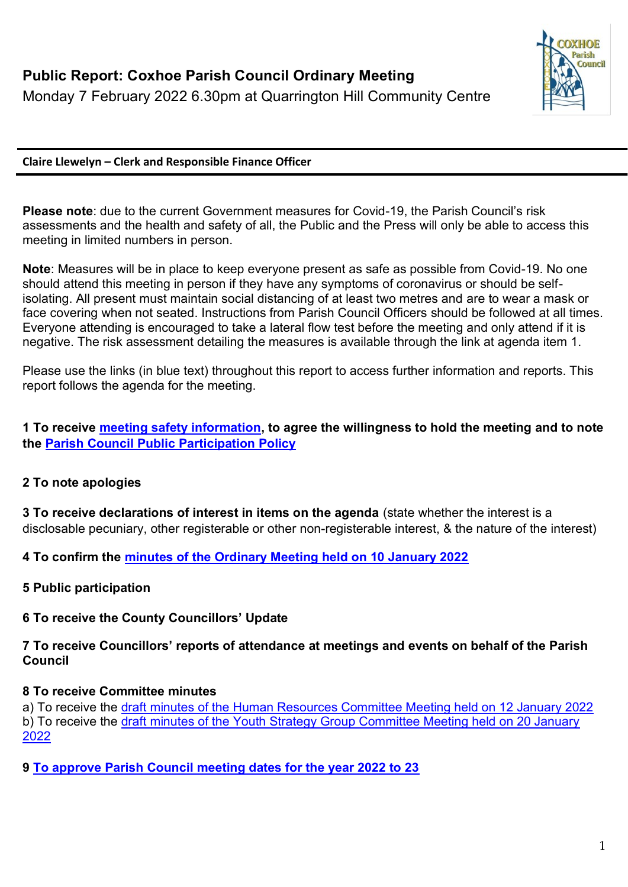

#### **Claire Llewelyn – Clerk and Responsible Finance Officer**

**Please note**: due to the current Government measures for Covid-19, the Parish Council's risk assessments and the health and safety of all, the Public and the Press will only be able to access this meeting in limited numbers in person.

**Note**: Measures will be in place to keep everyone present as safe as possible from Covid-19. No one should attend this meeting in person if they have any symptoms of coronavirus or should be selfisolating. All present must maintain social distancing of at least two metres and are to wear a mask or face covering when not seated. Instructions from Parish Council Officers should be followed at all times. Everyone attending is encouraged to take a lateral flow test before the meeting and only attend if it is negative. The risk assessment detailing the measures is available through the link at agenda item 1.

Please use the links (in blue text) throughout this report to access further information and reports. This report follows the agenda for the meeting.

#### **1 To receive [meeting safety information,](https://1drv.ms/b/s!Alg_TKmu7xwUgdwfziE0gpXZrGSD_A?e=Rl0uPs) to agree the willingness to hold the meeting and to note the [Parish Council Public Participation Policy](http://coxhoeparishcouncil.gov.uk/important-documents-and-policies/public-participation-policy-fmarch-2020-review-date-march-2022/)**

#### **2 To note apologies**

**3 To receive declarations of interest in items on the agenda** (state whether the interest is a disclosable pecuniary, other registerable or other non-registerable interest, & the nature of the interest)

**4 To confirm the [minutes of the Ordinary Meeting held on 10 January 2022](https://1drv.ms/b/s!Alg_TKmu7xwUgdwKSM9yj_UFJRBR3Q?e=fn7xo6)**

**5 Public participation**

# **6 To receive the County Councillors' Update**

**7 To receive Councillors' reports of attendance at meetings and events on behalf of the Parish Council** 

# **8 To receive Committee minutes**

a) To receive the [draft minutes of the Human Resources Committee Meeting held on 12 January 2022](https://1drv.ms/b/s!Alg_TKmu7xwUgdwGCaJYrqKTmd6ZVw?e=G3F6bO) b) To receive the [draft minutes of the Youth Strategy Group Committee Meeting held on 20 January](https://1drv.ms/b/s!Alg_TKmu7xwUgdxMuRymWrR6pbA-iA?e=1A9uDZ)  [2022](https://1drv.ms/b/s!Alg_TKmu7xwUgdxMuRymWrR6pbA-iA?e=1A9uDZ)

**9 [To approve Parish Council meeting dates for the year 2022 to 23](https://1drv.ms/b/s!Alg_TKmu7xwUgdwyvfubnd7gsx1NuQ?e=aJoe8u)**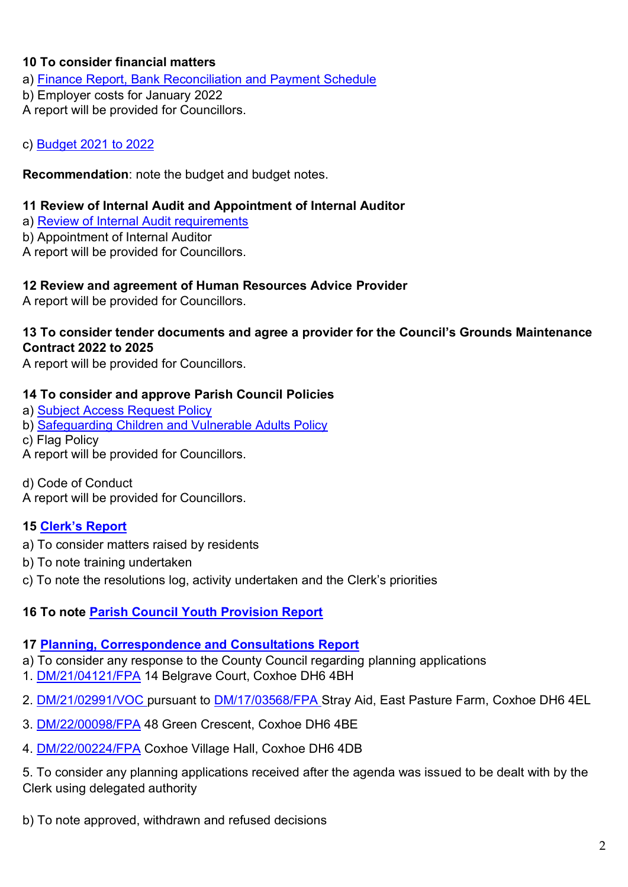## **10 To consider financial matters**

a) [Finance Report, Bank Reconciliation and Payment Schedule](https://1drv.ms/b/s!Alg_TKmu7xwUgdxEwMEYqILqNaOrtw?e=UoyzKH)

b) Employer costs for January 2022

A report will be provided for Councillors.

c) [Budget 2021 to 2022](https://1drv.ms/b/s!Alg_TKmu7xwUgdxGVnncSKywv0m5MA?e=Okt7MA)

**Recommendation**: note the budget and budget notes.

#### **11 Review of Internal Audit and Appointment of Internal Auditor**

a) [Review of Internal Audit requirements](https://1drv.ms/b/s!Alg_TKmu7xwUgdt3FnTMF7bWfeAI9g?e=fUlVzB)

b) Appointment of Internal Auditor

A report will be provided for Councillors.

#### **12 Review and agreement of Human Resources Advice Provider**

A report will be provided for Councillors.

#### **13 To consider tender documents and agree a provider for the Council's Grounds Maintenance Contract 2022 to 2025**

A report will be provided for Councillors.

#### **14 To consider and approve Parish Council Policies**

- a) [Subject Access Request Policy](https://1drv.ms/b/s!Alg_TKmu7xwUgdwFVnzRtiuJdKOm8Q?e=6ilEIk)
- b) [Safeguarding Children and Vulnerable Adults Policy](https://1drv.ms/b/s!Alg_TKmu7xwUgdwgYQkxboDaN1PN5w?e=yRKXAe)
- c) Flag Policy
- A report will be provided for Councillors.

d) Code of Conduct

A report will be provided for Councillors.

## **15 [Clerk's Report](https://1drv.ms/b/s!Alg_TKmu7xwUgdw3Q-7i_ZBsDdRf_g?e=Veeanz)**

- a) To consider matters raised by residents
- b) To note training undertaken
- c) To note the resolutions log, activity undertaken and the Clerk's priorities

# **16 To note [Parish Council Youth Provision Report](https://1drv.ms/b/s!Alg_TKmu7xwUgdw1svNZFgJ23yp0mg?e=QmSC0H)**

## **17 [Planning, Correspondence and Consultations Report](https://1drv.ms/b/s!Alg_TKmu7xwUgdwjE5HxMdbYG7kVYA?e=Il8Lj9)**

- a) To consider any response to the County Council regarding planning applications
- 1. [DM/21/04121/FPA](https://publicaccess.durham.gov.uk/online-applications/applicationDetails.do?activeTab=summary&keyVal=R3SCVCGDJQ600) 14 Belgrave Court, Coxhoe DH6 4BH
- 2. [DM/21/02991/VOC](https://publicaccess.durham.gov.uk/online-applications/applicationDetails.do?activeTab=summary&keyVal=QYCAJWGDHWO00) pursuant to [DM/17/03568/FPA](https://publicaccess.durham.gov.uk/online-applications/applicationDetails.do?keyVal=OYOGXQGDI8M00&activeTab=summary) Stray Aid, East Pasture Farm, Coxhoe DH6 4EL
- 3.<DM/22/00098/FPA> 48 Green Crescent, Coxhoe DH6 4BE
- 4. [DM/22/00224/FPA](https://publicaccess.durham.gov.uk/online-applications/applicationDetails.do?activeTab=summary&keyVal=R6BV2WGD0BK00) Coxhoe Village Hall, Coxhoe DH6 4DB

5. To consider any planning applications received after the agenda was issued to be dealt with by the Clerk using delegated authority

b) To note approved, withdrawn and refused decisions